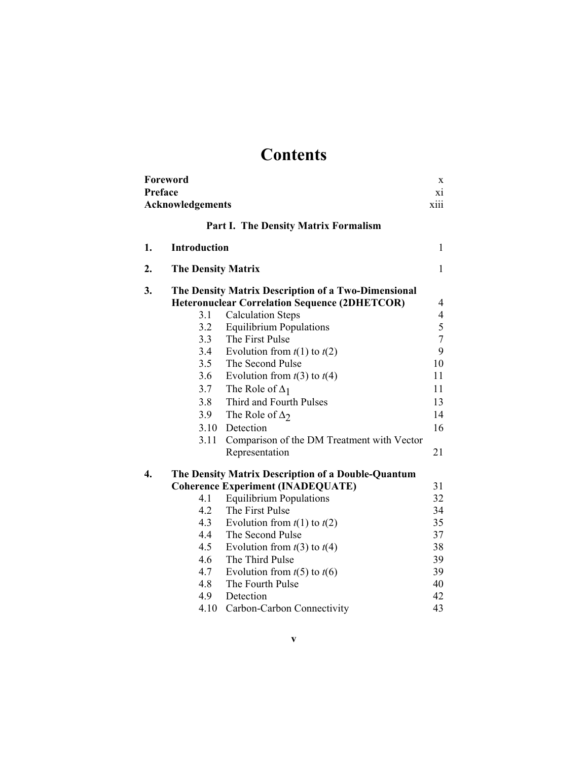## **Contents**

|                  | Foreword                  |                                                      | X                        |
|------------------|---------------------------|------------------------------------------------------|--------------------------|
| Preface          |                           |                                                      | X1                       |
|                  | Acknowledgements          |                                                      | xiii                     |
|                  |                           | <b>Part I. The Density Matrix Formalism</b>          |                          |
| 1.               | <b>Introduction</b>       |                                                      | 1                        |
| 2.               | <b>The Density Matrix</b> |                                                      | $\mathbf{1}$             |
| 3.               |                           | The Density Matrix Description of a Two-Dimensional  |                          |
|                  |                           | <b>Heteronuclear Correlation Sequence (2DHETCOR)</b> | 4                        |
|                  | 3.1                       | <b>Calculation Steps</b>                             | $\overline{\mathcal{A}}$ |
|                  | 3.2                       | <b>Equilibrium Populations</b>                       | 5                        |
|                  | 3.3                       | The First Pulse                                      | $\overline{7}$           |
|                  | 3.4                       | Evolution from $t(1)$ to $t(2)$                      | 9                        |
|                  | 3.5                       | The Second Pulse                                     | 10                       |
|                  | 3.6                       | Evolution from $t(3)$ to $t(4)$                      | 11                       |
|                  | 3.7                       | The Role of $\Delta_1$                               | 11                       |
|                  | 3.8                       | Third and Fourth Pulses                              | 13                       |
|                  | 3.9                       | The Role of $\Delta$ ?                               | 14                       |
|                  |                           | 3.10 Detection                                       | 16                       |
|                  |                           | 3.11 Comparison of the DM Treatment with Vector      |                          |
|                  |                           | Representation                                       | 21                       |
| $\overline{4}$ . |                           | The Density Matrix Description of a Double-Quantum   |                          |
|                  |                           | <b>Coherence Experiment (INADEQUATE)</b>             | 31                       |
|                  | 4.1                       | <b>Equilibrium Populations</b>                       | 32                       |
|                  | 4.2                       | The First Pulse                                      | 34                       |
|                  | 4.3                       | Evolution from $t(1)$ to $t(2)$                      | 35                       |
|                  | 4.4                       | The Second Pulse                                     | 37                       |
|                  | 4.5                       | Evolution from $t(3)$ to $t(4)$                      | 38                       |
|                  | 4.6                       | The Third Pulse                                      | 39                       |
|                  | 4.7                       | Evolution from $t(5)$ to $t(6)$                      | 39                       |
|                  | 4.8                       | The Fourth Pulse                                     | 40                       |
|                  | 4.9                       | Detection                                            | 42                       |
|                  | 4.10                      | Carbon-Carbon Connectivity                           | 43                       |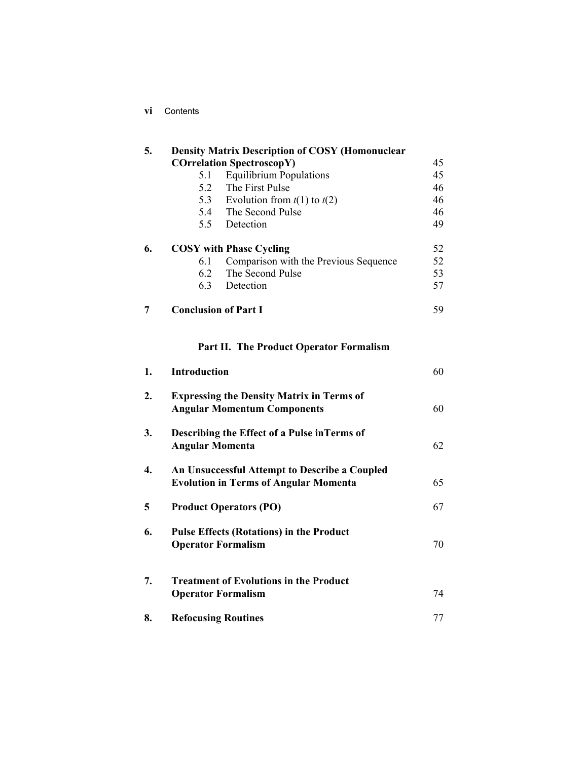| 5. |                             | <b>Density Matrix Description of COSY (Homonuclear</b> |    |
|----|-----------------------------|--------------------------------------------------------|----|
|    |                             | <b>COrrelation SpectroscopY)</b>                       | 45 |
|    | 5.1                         | <b>Equilibrium Populations</b>                         | 45 |
|    |                             | 5.2 The First Pulse                                    | 46 |
|    |                             | 5.3 Evolution from $t(1)$ to $t(2)$                    | 46 |
|    |                             | 5.4 The Second Pulse                                   | 46 |
|    |                             | 5.5 Detection                                          | 49 |
| 6. |                             | <b>COSY</b> with Phase Cycling                         | 52 |
|    | 6.1                         | Comparison with the Previous Sequence                  | 52 |
|    |                             | 6.2 The Second Pulse                                   | 53 |
|    |                             | 6.3 Detection                                          | 57 |
| 7  | <b>Conclusion of Part I</b> |                                                        | 59 |
|    |                             | <b>Part II. The Product Operator Formalism</b>         |    |
| 1. | Introduction                |                                                        | 60 |

| 2. | <b>Expressing the Density Matrix in Terms of</b><br><b>Angular Momentum Components</b>        | 60 |
|----|-----------------------------------------------------------------------------------------------|----|
| 3. | Describing the Effect of a Pulse in Terms of<br><b>Angular Momenta</b>                        | 62 |
| 4. | An Unsuccessful Attempt to Describe a Coupled<br><b>Evolution in Terms of Angular Momenta</b> | 65 |
| 5  | <b>Product Operators (PO)</b>                                                                 | 67 |
| 6. | <b>Pulse Effects (Rotations) in the Product</b><br><b>Operator Formalism</b>                  | 70 |
| 7. | <b>Treatment of Evolutions in the Product</b><br><b>Operator Formalism</b>                    | 74 |
| 8. | <b>Refocusing Routines</b>                                                                    | 77 |
|    |                                                                                               |    |